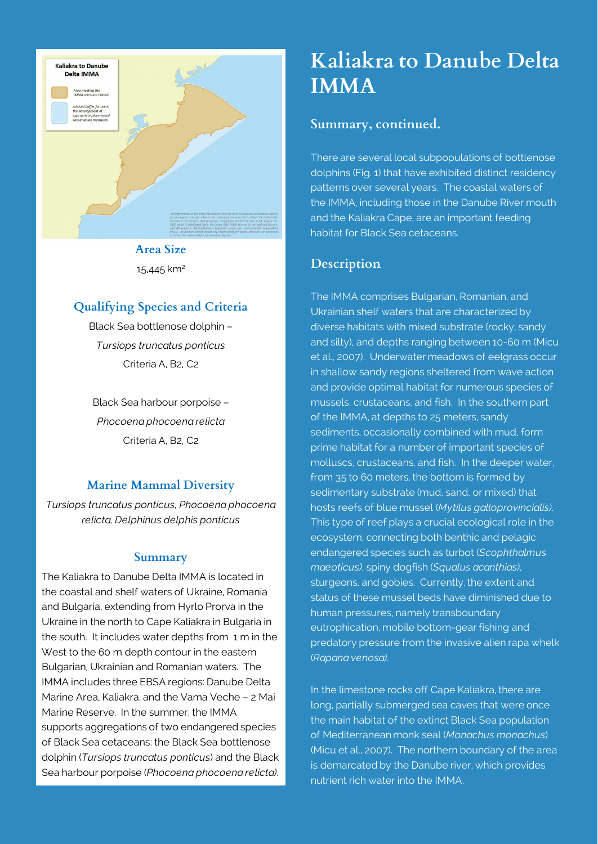

**Area Size** 15,445 km2

### **Qualifying Species and Criteria**

Black Sea bottlenose dolphin – *Tursiops truncatus ponticus* Criteria A, B2, C2

Black Sea harbour porpoise – *Phocoena phocoena relicta* Criteria A, B2, C2

#### **Marine Mammal Diversity**

*Tursiops truncatus ponticus, Phocoena phocoena relicta, Delphinus delphis ponticus*

#### **Summary**

The Kaliakra to Danube Delta IMMA is located in the coastal and shelf waters of Ukraine, Romania and Bulgaria, extending from Hyrlo Prorva in the Ukraine in the north to Cape Kaliakra in Bulgaria in the south. It includes water depths from 1 m in the West to the 60 m depth contour in the eastern Bulgarian, Ukrainian and Romanian waters. The IMMA includes three EBSA regions: Danube Delta Marine Area, Kaliakra, and the Vama Veche – 2 Mai Marine Reserve. In the summer, the IMMA supports aggregations of two endangered species of Black Sea cetaceans: the Black Sea bottlenose dolphin (*Tursiops truncatus ponticus*) and the Black Sea harbour porpoise (*Phocoena phocoena relicta)*.

# **Kaliakra to Danube Delta IMMA**

#### **Summary, continued.**

There are several local subpopulations of bottlenose dolphins (Fig. 1) that have exhibited distinct residency patterns over several years. The coastal waters of the IMMA, including those in the Danube River mouth and the Kaliakra Cape, are an important feeding habitat for Black Sea cetaceans.

#### **Description**

The IMMA comprises Bulgarian, Romanian, and Ukrainian shelf waters that are characterized by diverse habitats with mixed substrate (rocky, sandy and silty), and depths ranging between 10-60 m (Micu et al., 2007). Underwater meadows of eelgrass occur in shallow sandy regions sheltered from wave action and provide optimal habitat for numerous species of mussels, crustaceans, and fish. In the southern part of the IMMA, at depths to 25 meters, sandy sediments, occasionally combined with mud, form prime habitat for a number of important species of molluscs, crustaceans, and fish. In the deeper water, from 35 to 60 meters, the bottom is formed by sedimentary substrate (mud, sand, or mixed) that hosts reefs of blue mussel (*Mytilus galloprovincialis)*. This type of reef plays a crucial ecological role in the ecosystem, connecting both benthic and pelagic endangered species such as turbot (*Scophthalmus maeoticus)*, spiny dogfish (*Squalus acanthias)*, sturgeons, and gobies. Currently, the extent and status of these mussel beds have diminished due to human pressures, namely transboundary eutrophication, mobile bottom-gear fishing and predatory pressure from the invasive alien rapa whelk (*Rapana venosa)*.

In the limestone rocks off Cape Kaliakra, there are long, partially submerged sea caves that were once the main habitat of the extinct Black Sea population of Mediterranean monk seal (*Monachus monachus*) (Micu et al., 2007). The northern boundary of the area is demarcated by the Danube river, which provides nutrient rich water into the IMMA.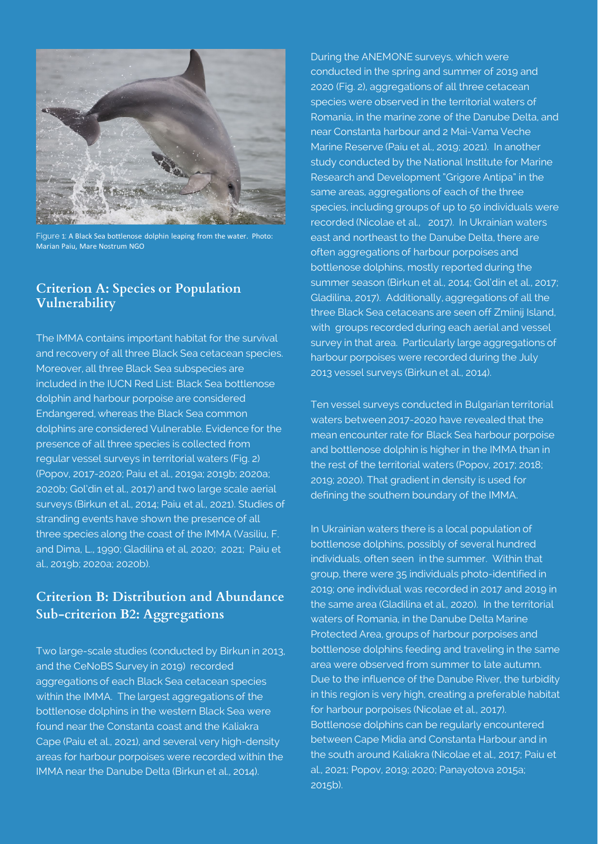

Figure 1: A Black Sea bottlenose dolphin leaping from the water. Photo: Marian Paiu, Mare Nostrum NGO

#### **Criterion A: Species or Population Vulnerability**

The IMMA contains important habitat for the survival and recovery of all three Black Sea cetacean species. Moreover, all three Black Sea subspecies are included in the IUCN Red List: Black Sea bottlenose dolphin and harbour porpoise are considered Endangered, whereas the Black Sea common dolphins are considered Vulnerable. Evidence for the presence of all three species is collected from regular vessel surveys in territorial waters (Fig. 2) (Popov, 2017-2020; Paiu et al., 2019a; 2019b; 2020a; 2020b; Gol'din et al., 2017) and two large scale aerial surveys (Birkun et al., 2014; Paiu et al., 2021). Studies of stranding events have shown the presence of all three species along the coast of the IMMA (Vasiliu, F. and Dima, L., 1990; Gladilina et al, 2020; 2021; Paiu et al., 2019b; 2020a; 2020b).

## **Criterion B: Distribution and Abundance Sub-criterion B2: Aggregations**

Two large-scale studies (conducted by Birkun in 2013, and the CeNoBS Survey in 2019) recorded aggregations of each Black Sea cetacean species within the IMMA. The largest aggregations of the bottlenose dolphins in the western Black Sea were found near the Constanta coast and the Kaliakra Cape (Paiu et al., 2021), and several very high-density areas for harbour porpoises were recorded within the IMMA near the Danube Delta (Birkun et al., 2014).

During the ANEMONE surveys, which were conducted in the spring and summer of 2019 and 2020 (Fig. 2), aggregations of all three cetacean species were observed in the territorial waters of Romania, in the marine zone of the Danube Delta, and near Constanta harbour and 2 Mai-Vama Veche Marine Reserve (Paiu et al., 2019; 2021). In another study conducted by the National Institute for Marine Research and Development "Grigore Antipa" in the same areas, aggregations of each of the three species, including groups of up to 50 individuals were recorded (Nicolae et al., 2017). In Ukrainian waters east and northeast to the Danube Delta, there are often aggregations of harbour porpoises and bottlenose dolphins, mostly reported during the summer season (Birkun et al., 2014; Gol'din et al., 2017; Gladilina, 2017). Additionally, aggregations of all the three Black Sea cetaceans are seen off Zmiinij Island, with groups recorded during each aerial and vessel survey in that area. Particularly large aggregations of harbour porpoises were recorded during the July 2013 vessel surveys (Birkun et al., 2014).

Ten vessel surveys conducted in Bulgarian territorial waters between 2017-2020 have revealed that the mean encounter rate for Black Sea harbour porpoise and bottlenose dolphin is higher in the IMMA than in the rest of the territorial waters (Popov, 2017; 2018; 2019; 2020). That gradient in density is used for defining the southern boundary of the IMMA.

In Ukrainian waters there is a local population of bottlenose dolphins, possibly of several hundred individuals, often seen in the summer. Within that group, there were 35 individuals photo-identified in 2019; one individual was recorded in 2017 and 2019 in the same area (Gladilina et al., 2020). In the territorial waters of Romania, in the Danube Delta Marine Protected Area, groups of harbour porpoises and bottlenose dolphins feeding and traveling in the same area were observed from summer to late autumn. Due to the influence of the Danube River, the turbidity in this region is very high, creating a preferable habitat for harbour porpoises (Nicolae et al., 2017). Bottlenose dolphins can be regularly encountered between Cape Midia and Constanta Harbour and in the south around Kaliakra (Nicolae et al., 2017; Paiu et al., 2021; Popov, 2019; 2020; Panayotova 2015a; 2015b).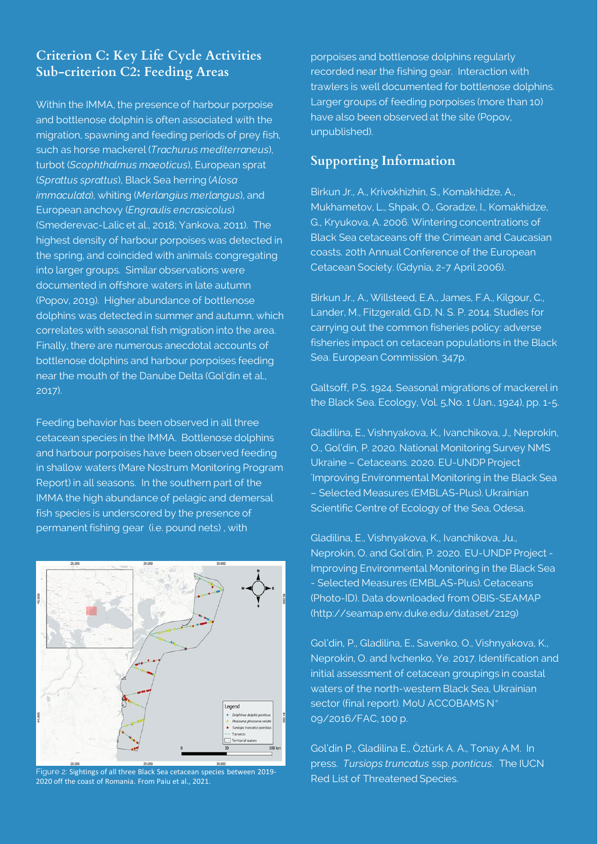## **Criterion C: Key Life Cycle Activities Sub-criterion C2: Feeding Areas**

Within the IMMA, the presence of harbour porpoise and bottlenose dolphin is often associated with the migration, spawning and feeding periods of prey fish, such as horse mackerel (*Trachurus mediterraneus*), turbot (*Scophthalmus maeoticus*), European sprat (*Sprattus sprattus*), Black Sea herring (*Alosa immaculata*), whiting (*Merlangius merlangus*), and European anchovy (*Engraulis encrasicolus*) (Smederevac-Lalic et al., 2018; Yankova, 2011). The highest density of harbour porpoises was detected in the spring, and coincided with animals congregating into larger groups. Similar observations were documented in offshore waters in late autumn (Popov, 2019). Higher abundance of bottlenose dolphins was detected in summer and autumn, which correlates with seasonal fish migration into the area. Finally, there are numerous anecdotal accounts of bottlenose dolphins and harbour porpoises feeding near the mouth of the Danube Delta (Gol'din et al., 2017).

Feeding behavior has been observed in all three cetacean species in the IMMA. Bottlenose dolphins and harbour porpoises have been observed feeding in shallow waters (Mare Nostrum Monitoring Program Report) in all seasons. In the southern part of the IMMA the high abundance of pelagic and demersal fish species is underscored by the presence of permanent fishing gear (i.e. pound nets) , with



Figure 2: Sightings of all three Black Sea cetacean species between 2019- 2020 off the coast of Romania. From Paiu et al., 2021.

porpoises and bottlenose dolphins regularly recorded near the fishing gear. Interaction with trawlers is well documented for bottlenose dolphins. Larger groups of feeding porpoises (more than 10) have also been observed at the site (Popov, unpublished).

#### **Supporting Information**

Birkun Jr., A., Krivokhizhin, S., Komakhidze, A., Mukhametov, L., Shpak, O., Goradze, I., Komakhidze, G., Kryukova, A. 2006. Wintering concentrations of Black Sea cetaceans off the Crimean and Caucasian coasts. 20th Annual Conference of the European Cetacean Society. (Gdynia, 2-7 April 2006).

Birkun Jr., A., Willsteed, E.A., James, F.A., Kilgour, C., Lander, M., Fitzgerald, G.D, N. S. P. 2014. Studies for carrying out the common fisheries policy: adverse fisheries impact on cetacean populations in the Black Sea. European Commission. 347p.

Galtsoff, P.S. 1924. Seasonal migrations of mackerel in the Black Sea. Ecology, Vol. 5,No. 1 (Jan., 1924), pp. 1-5.

Gladilina, E., Vishnyakova, K., Ivanchikova, J., Neprokin, O., Gol'din, P. 2020. National Monitoring Survey NMS Ukraine – Cetaceans. 2020. EU-UNDP Project 'Improving Environmental Monitoring in the Black Sea – Selected Measures (EMBLAS-Plus). Ukrainian Scientific Centre of Ecology of the Sea, Odesa.

Gladilina, E., Vishnyakova, K., Ivanchikova, Ju., Neprokin, O. and Gol'din, P. 2020. EU-UNDP Project - Improving Environmental Monitoring in the Black Sea - Selected Measures (EMBLAS-Plus). Cetaceans (Photo-ID). Data downloaded from OBIS-SEAMAP (http://seamap.env.duke.edu/dataset/2129)

Gol'din, P., Gladilina, E., Savenko, O., Vishnyakova, K., Neprokin, O. and Ivchenko, Ye. 2017. Identification and initial assessment of cetacean groupings in coastal waters of the north-western Black Sea, Ukrainian sector (final report). MoU ACCOBAMS N° 09/2016/FAC, 100 p.

Gol'din P., Gladilina E., Öztürk A. A., Tonay A.M. In press. *Tursiops truncatus* ssp. *ponticus*. The IUCN Red List of Threatened Species.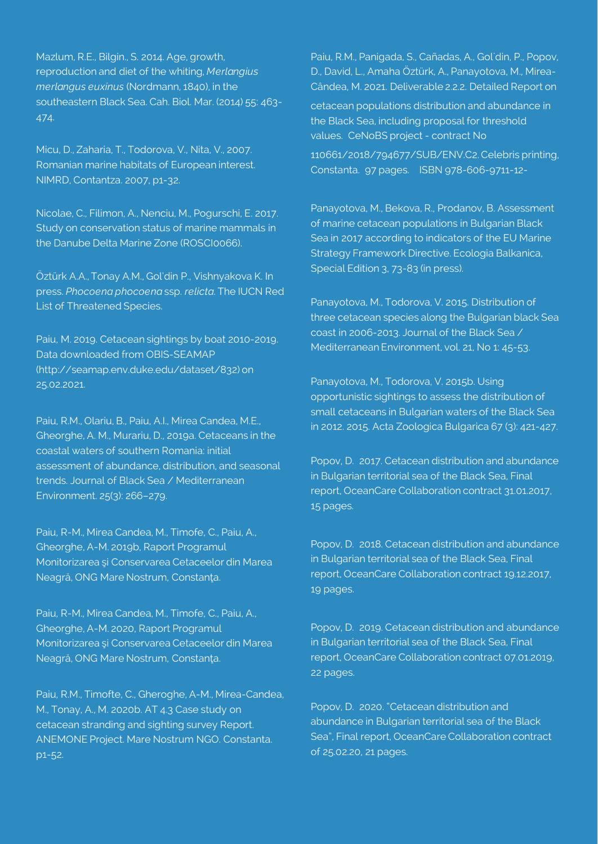Mazlum, R.E., Bilgin., S. 2014. Age, growth, reproduction and diet of the whiting, *Merlangius merlangus euxinus* (Nordmann, 1840), in the southeastern Black Sea. Cah. Biol. Mar. (2014) 55: 463- 474.

Micu, D., Zaharia, T., Todorova, V., Nita, V., 2007. Romanian marine habitats of European interest. NIMRD, Contantza. 2007, p1-32.

Nicolae, C., Filimon, A., Nenciu, M., Pogurschi, E. 2017. Study on conservation status of marine mammals in the Danube Delta Marine Zone (ROSCI0066).

Öztürk A.A., Tonay A.M., Gol'din P., Vishnyakova K. In press. *Phocoena phocoena* ssp. *relicta*. The IUCN Red List of Threatened Species.

Paiu, M. 2019. Cetacean sightings by boat 2010-2019. Data downloaded from OBIS-SEAMAP (http://seamap.env.duke.edu/dataset/832) on 25.02.2021.

Paiu, R.M., Olariu, B., Paiu, A.I., Mirea Candea, M.E., Gheorghe, A. M., Murariu, D., 2019a. Cetaceans in the coastal waters of southern Romania: initial assessment of abundance, distribution, and seasonal trends. Journal of Black Sea / Mediterranean Environment. 25(3): 266–279.

Paiu, R-M., Mirea Candea, M., Timofe, C., Paiu, A., Gheorghe, A-M. 2019b, Raport Programul Monitorizarea şi Conservarea Cetaceelor din Marea Neagră, ONG Mare Nostrum, Constanţa.

Paiu, R-M., Mirea Candea, M., Timofe, C., Paiu, A., Gheorghe, A-M. 2020, Raport Programul Monitorizarea şi Conservarea Cetaceelor din Marea Neagră, ONG Mare Nostrum, Constanţa.

Paiu, R.M., Timofte, C., Gheroghe, A-M., Mirea-Candea, M., Tonay, A., M. 2020b. AT 4.3 Case study on cetacean stranding and sighting survey Report. ANEMONE Project. Mare Nostrum NGO. Constanta. p1-52.

Paiu, R.M., Panigada, S., Cañadas, A., Gol`din, P., Popov, D., David, L., Amaha Öztürk, A., Panayotova, M., Mirea-Cândea, M. 2021. Deliverable 2.2.2. Detailed Report on

cetacean populations distribution and abundance in the Black Sea, including proposal for threshold values. CeNoBS project - contract No

110661/2018/794677/SUB/ENV.C2. Celebris printing, Constanta. 97 pages. ISBN 978-606-9711-12-

Panayotova, M., Bekova, R., Prodanov, B. Assessment of marine cetacean populations in Bulgarian Black Sea in 2017 according to indicators of the EU Marine Strategy Framework Directive. Ecologia Balkanica, Special Edition 3, 73-83 (in press).

Panayotova, M., Todorova, V. 2015. Distribution of three cetacean species along the Bulgarian black Sea coast in 2006-2013. Journal of the Black Sea / Mediterranean Environment, vol. 21, No 1: 45-53.

Panayotova, M., Todorova, V. 2015b. Using opportunistic sightings to assess the distribution of small cetaceans in Bulgarian waters of the Black Sea in 2012. 2015. Acta Zoologica Bulgarica 67 (3): 421-427.

Popov, D. 2017. Cetacean distribution and abundance in Bulgarian territorial sea of the Black Sea, Final report, OceanCare Collaboration contract 31.01.2017, 15 pages.

Popov, D. 2018. Cetacean distribution and abundance in Bulgarian territorial sea of the Black Sea, Final report, OceanCare Collaboration contract 19.12.2017, 19 pages.

Popov, D. 2019. Cetacean distribution and abundance in Bulgarian territorial sea of the Black Sea, Final report, OceanCare Collaboration contract 07.01.2019, 22 pages.

Popov, D. 2020. "Cetacean distribution and abundance in Bulgarian territorial sea of the Black Sea", Final report, OceanCare Collaboration contract of 25.02.20, 21 pages.